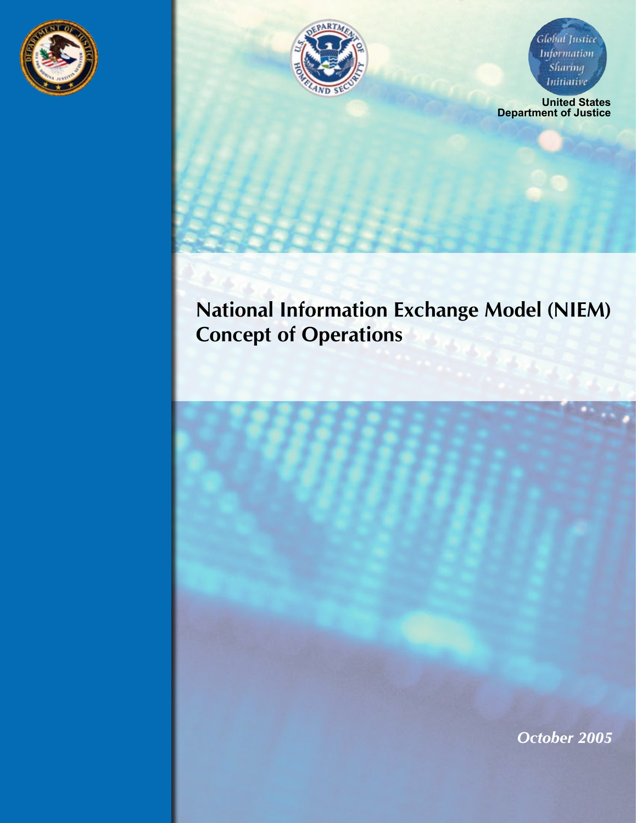



Global Justice **Information** Sharing Initiative

**United States Department of Justice**

# **National Information Exchange Model (NIEM) Concept of Operations**

*October 2005*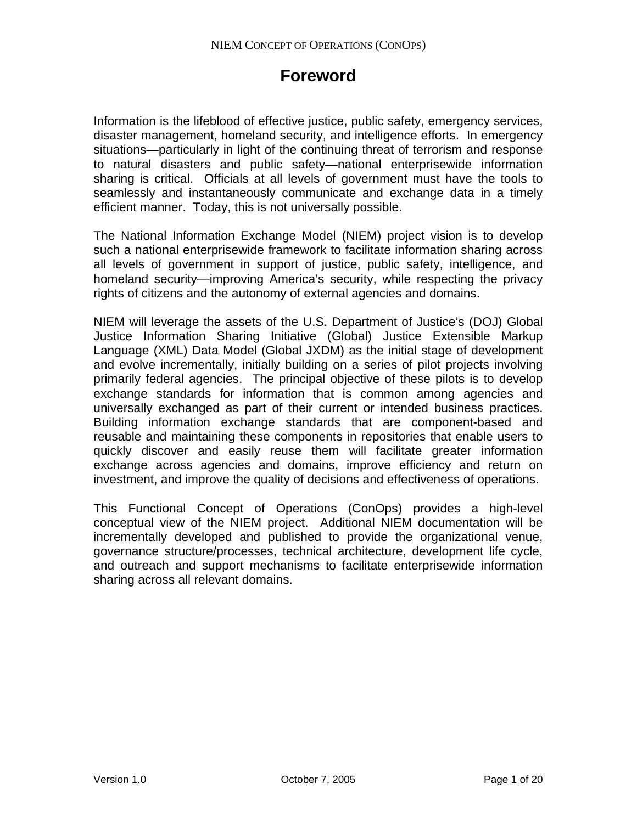## **Foreword**

Information is the lifeblood of effective justice, public safety, emergency services, disaster management, homeland security, and intelligence efforts. In emergency situations—particularly in light of the continuing threat of terrorism and response to natural disasters and public safety—national enterprisewide information sharing is critical. Officials at all levels of government must have the tools to seamlessly and instantaneously communicate and exchange data in a timely efficient manner. Today, this is not universally possible.

The National Information Exchange Model (NIEM) project vision is to develop such a national enterprisewide framework to facilitate information sharing across all levels of government in support of justice, public safety, intelligence, and homeland security—improving America's security, while respecting the privacy rights of citizens and the autonomy of external agencies and domains.

NIEM will leverage the assets of the U.S. Department of Justice's (DOJ) Global Justice Information Sharing Initiative (Global) Justice Extensible Markup Language (XML) Data Model (Global JXDM) as the initial stage of development and evolve incrementally, initially building on a series of pilot projects involving primarily federal agencies. The principal objective of these pilots is to develop exchange standards for information that is common among agencies and universally exchanged as part of their current or intended business practices. Building information exchange standards that are component-based and reusable and maintaining these components in repositories that enable users to quickly discover and easily reuse them will facilitate greater information exchange across agencies and domains, improve efficiency and return on investment, and improve the quality of decisions and effectiveness of operations.

This Functional Concept of Operations (ConOps) provides a high-level conceptual view of the NIEM project. Additional NIEM documentation will be incrementally developed and published to provide the organizational venue, governance structure/processes, technical architecture, development life cycle, and outreach and support mechanisms to facilitate enterprisewide information sharing across all relevant domains.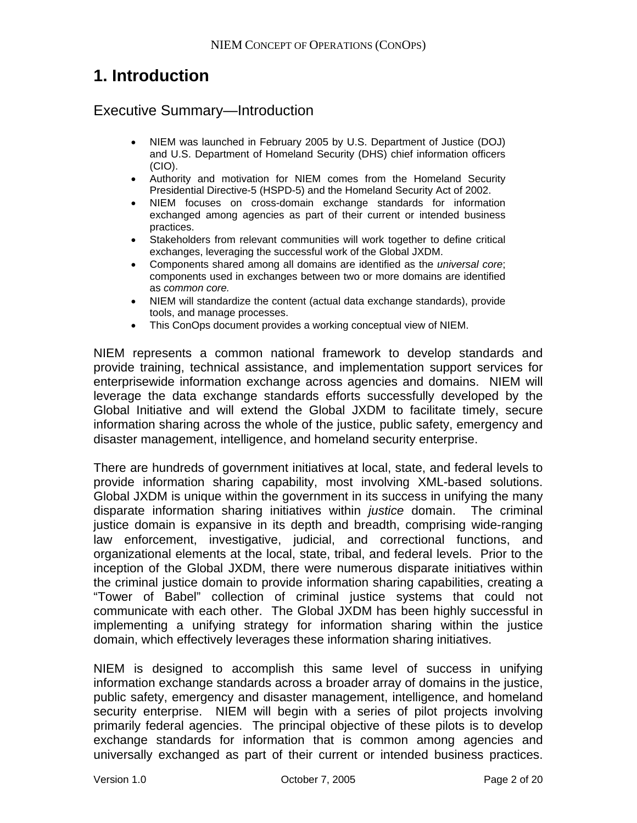## **1. Introduction**

## Executive Summary—Introduction

- NIEM was launched in February 2005 by U.S. Department of Justice (DOJ) and U.S. Department of Homeland Security (DHS) chief information officers (CIO).
- Authority and motivation for NIEM comes from the Homeland Security Presidential Directive-5 (HSPD-5) and the Homeland Security Act of 2002.
- NIEM focuses on cross-domain exchange standards for information exchanged among agencies as part of their current or intended business practices.
- Stakeholders from relevant communities will work together to define critical exchanges, leveraging the successful work of the Global JXDM.
- Components shared among all domains are identified as the *universal core*; components used in exchanges between two or more domains are identified as *common core.*
- NIEM will standardize the content (actual data exchange standards), provide tools, and manage processes.
- This ConOps document provides a working conceptual view of NIEM.

NIEM represents a common national framework to develop standards and provide training, technical assistance, and implementation support services for enterprisewide information exchange across agencies and domains. NIEM will leverage the data exchange standards efforts successfully developed by the Global Initiative and will extend the Global JXDM to facilitate timely, secure information sharing across the whole of the justice, public safety, emergency and disaster management, intelligence, and homeland security enterprise.

There are hundreds of government initiatives at local, state, and federal levels to provide information sharing capability, most involving XML-based solutions. Global JXDM is unique within the government in its success in unifying the many disparate information sharing initiatives within *justice* domain. The criminal justice domain is expansive in its depth and breadth, comprising wide-ranging law enforcement, investigative, judicial, and correctional functions, and organizational elements at the local, state, tribal, and federal levels. Prior to the inception of the Global JXDM, there were numerous disparate initiatives within the criminal justice domain to provide information sharing capabilities, creating a "Tower of Babel" collection of criminal justice systems that could not communicate with each other. The Global JXDM has been highly successful in implementing a unifying strategy for information sharing within the justice domain, which effectively leverages these information sharing initiatives.

NIEM is designed to accomplish this same level of success in unifying information exchange standards across a broader array of domains in the justice, public safety, emergency and disaster management, intelligence, and homeland security enterprise. NIEM will begin with a series of pilot projects involving primarily federal agencies. The principal objective of these pilots is to develop exchange standards for information that is common among agencies and universally exchanged as part of their current or intended business practices.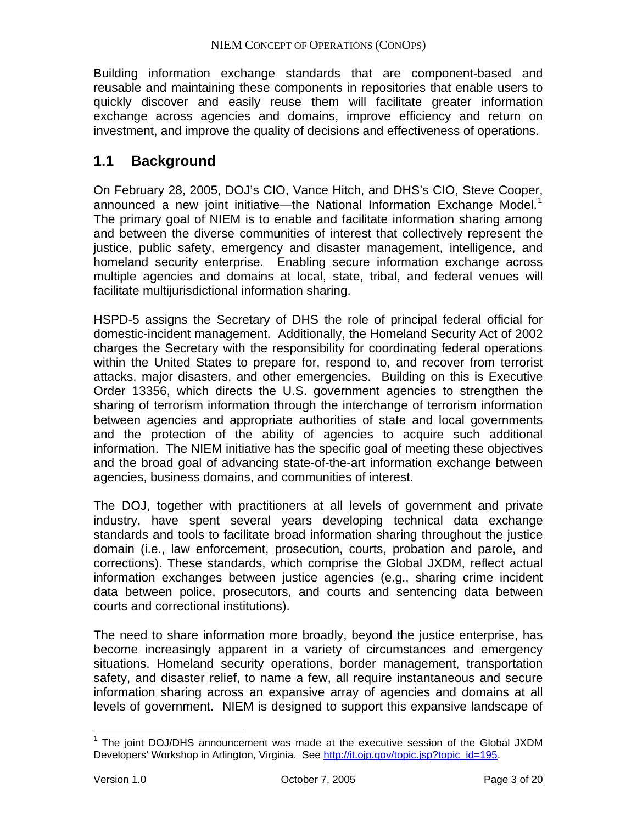Building information exchange standards that are component-based and reusable and maintaining these components in repositories that enable users to quickly discover and easily reuse them will facilitate greater information exchange across agencies and domains, improve efficiency and return on investment, and improve the quality of decisions and effectiveness of operations.

## **1.1 Background**

On February 28, 2005, DOJ's CIO, Vance Hitch, and DHS's CIO, Steve Cooper, announced a new joint initiative—the National Information Exchange Model.<sup>[1](#page-3-0)</sup> The primary goal of NIEM is to enable and facilitate information sharing among and between the diverse communities of interest that collectively represent the justice, public safety, emergency and disaster management, intelligence, and homeland security enterprise. Enabling secure information exchange across multiple agencies and domains at local, state, tribal, and federal venues will facilitate multijurisdictional information sharing.

HSPD-5 assigns the Secretary of DHS the role of principal federal official for domestic-incident management. Additionally, the Homeland Security Act of 2002 charges the Secretary with the responsibility for coordinating federal operations within the United States to prepare for, respond to, and recover from terrorist attacks, major disasters, and other emergencies. Building on this is Executive Order 13356, which directs the U.S. government agencies to strengthen the sharing of terrorism information through the interchange of terrorism information between agencies and appropriate authorities of state and local governments and the protection of the ability of agencies to acquire such additional information. The NIEM initiative has the specific goal of meeting these objectives and the broad goal of advancing state-of-the-art information exchange between agencies, business domains, and communities of interest.

The DOJ, together with practitioners at all levels of government and private industry, have spent several years developing technical data exchange standards and tools to facilitate broad information sharing throughout the justice domain (i.e., law enforcement, prosecution, courts, probation and parole, and corrections). These standards, which comprise the Global JXDM, reflect actual information exchanges between justice agencies (e.g., sharing crime incident data between police, prosecutors, and courts and sentencing data between courts and correctional institutions).

The need to share information more broadly, beyond the justice enterprise, has become increasingly apparent in a variety of circumstances and emergency situations. Homeland security operations, border management, transportation safety, and disaster relief, to name a few, all require instantaneous and secure information sharing across an expansive array of agencies and domains at all levels of government. NIEM is designed to support this expansive landscape of

 $\overline{a}$ 

<span id="page-3-0"></span><sup>&</sup>lt;sup>1</sup> The joint DOJ/DHS announcement was made at the executive session of the Global JXDM Developers' Workshop in Arlington, Virginia. See [http://it.ojp.gov/topic.jsp?topic\\_id=195](http://it.ojp.gov/topic.jsp?topic_id=195).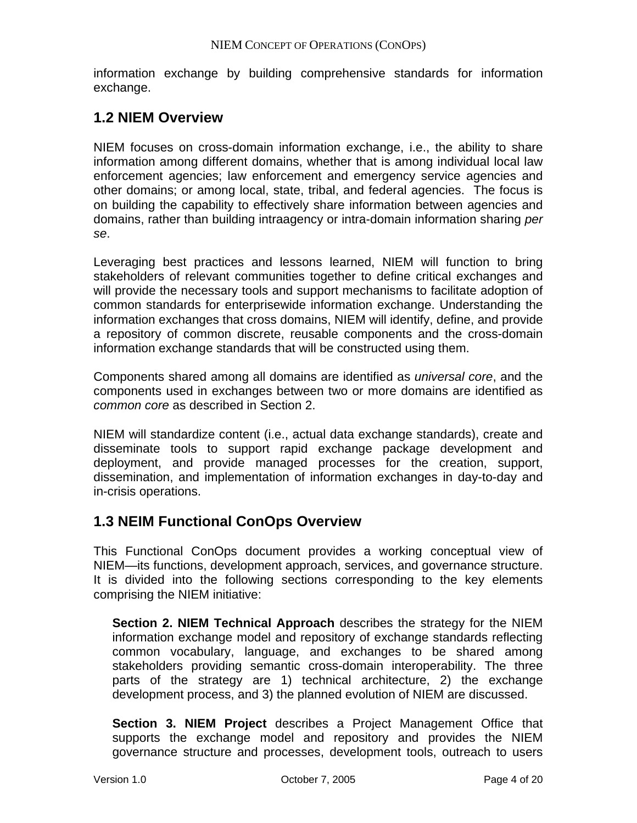information exchange by building comprehensive standards for information exchange.

## **1.2 NIEM Overview**

NIEM focuses on cross-domain information exchange, i.e., the ability to share information among different domains, whether that is among individual local law enforcement agencies; law enforcement and emergency service agencies and other domains; or among local, state, tribal, and federal agencies. The focus is on building the capability to effectively share information between agencies and domains, rather than building intraagency or intra-domain information sharing *per se*.

Leveraging best practices and lessons learned, NIEM will function to bring stakeholders of relevant communities together to define critical exchanges and will provide the necessary tools and support mechanisms to facilitate adoption of common standards for enterprisewide information exchange. Understanding the information exchanges that cross domains, NIEM will identify, define, and provide a repository of common discrete, reusable components and the cross-domain information exchange standards that will be constructed using them.

Components shared among all domains are identified as *universal core*, and the components used in exchanges between two or more domains are identified as *common core* as described in Section 2.

NIEM will standardize content (i.e., actual data exchange standards), create and disseminate tools to support rapid exchange package development and deployment, and provide managed processes for the creation, support, dissemination, and implementation of information exchanges in day-to-day and in-crisis operations.

## **1.3 NEIM Functional ConOps Overview**

This Functional ConOps document provides a working conceptual view of NIEM—its functions, development approach, services, and governance structure. It is divided into the following sections corresponding to the key elements comprising the NIEM initiative:

**Section 2. NIEM Technical Approach** describes the strategy for the NIEM information exchange model and repository of exchange standards reflecting common vocabulary, language, and exchanges to be shared among stakeholders providing semantic cross-domain interoperability. The three parts of the strategy are 1) technical architecture, 2) the exchange development process, and 3) the planned evolution of NIEM are discussed.

**Section 3. NIEM Project** describes a Project Management Office that supports the exchange model and repository and provides the NIEM governance structure and processes, development tools, outreach to users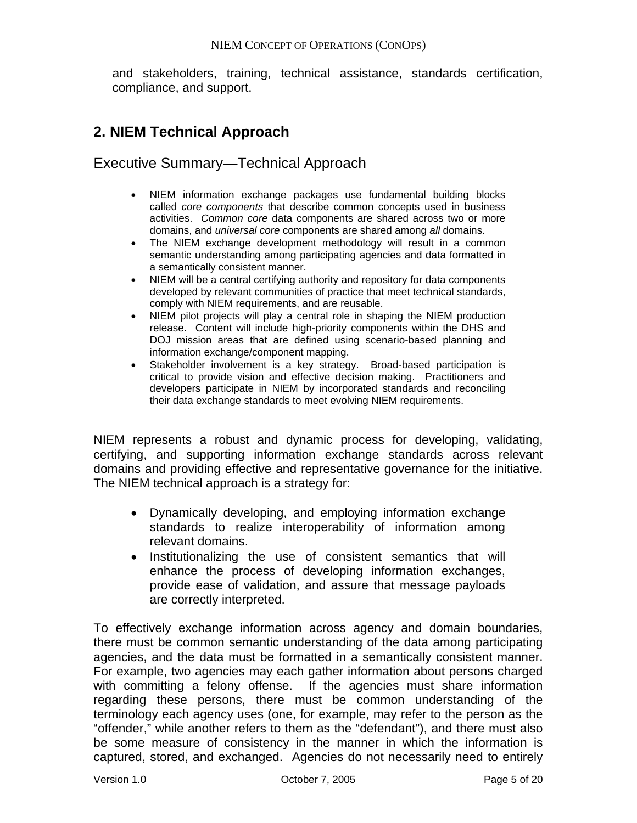and stakeholders, training, technical assistance, standards certification, compliance, and support.

## **2. NIEM Technical Approach**

## Executive Summary—Technical Approach

- NIEM information exchange packages use fundamental building blocks called *core components* that describe common concepts used in business activities. *Common core* data components are shared across two or more domains, and *universal core* components are shared among *all* domains.
- The NIEM exchange development methodology will result in a common semantic understanding among participating agencies and data formatted in a semantically consistent manner.
- NIEM will be a central certifying authority and repository for data components developed by relevant communities of practice that meet technical standards, comply with NIEM requirements, and are reusable.
- NIEM pilot projects will play a central role in shaping the NIEM production release. Content will include high-priority components within the DHS and DOJ mission areas that are defined using scenario-based planning and information exchange/component mapping.
- Stakeholder involvement is a key strategy. Broad-based participation is critical to provide vision and effective decision making. Practitioners and developers participate in NIEM by incorporated standards and reconciling their data exchange standards to meet evolving NIEM requirements.

NIEM represents a robust and dynamic process for developing, validating, certifying, and supporting information exchange standards across relevant domains and providing effective and representative governance for the initiative. The NIEM technical approach is a strategy for:

- Dynamically developing, and employing information exchange standards to realize interoperability of information among relevant domains.
- Institutionalizing the use of consistent semantics that will enhance the process of developing information exchanges, provide ease of validation, and assure that message payloads are correctly interpreted.

To effectively exchange information across agency and domain boundaries, there must be common semantic understanding of the data among participating agencies, and the data must be formatted in a semantically consistent manner. For example, two agencies may each gather information about persons charged with committing a felony offense. If the agencies must share information regarding these persons, there must be common understanding of the terminology each agency uses (one, for example, may refer to the person as the "offender," while another refers to them as the "defendant"), and there must also be some measure of consistency in the manner in which the information is captured, stored, and exchanged. Agencies do not necessarily need to entirely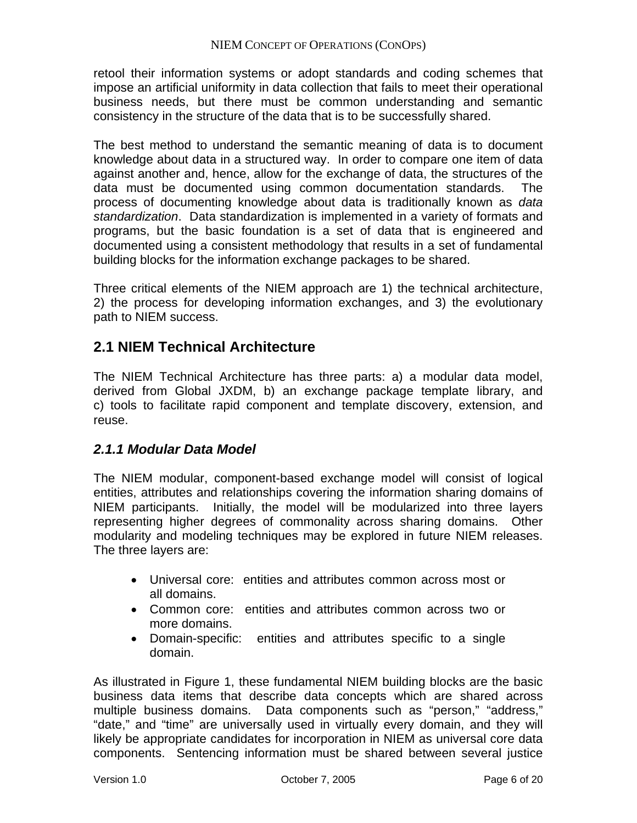retool their information systems or adopt standards and coding schemes that impose an artificial uniformity in data collection that fails to meet their operational business needs, but there must be common understanding and semantic consistency in the structure of the data that is to be successfully shared.

The best method to understand the semantic meaning of data is to document knowledge about data in a structured way. In order to compare one item of data against another and, hence, allow for the exchange of data, the structures of the data must be documented using common documentation standards. The process of documenting knowledge about data is traditionally known as *data standardization*. Data standardization is implemented in a variety of formats and programs, but the basic foundation is a set of data that is engineered and documented using a consistent methodology that results in a set of fundamental building blocks for the information exchange packages to be shared.

Three critical elements of the NIEM approach are 1) the technical architecture, 2) the process for developing information exchanges, and 3) the evolutionary path to NIEM success.

## **2.1 NIEM Technical Architecture**

The NIEM Technical Architecture has three parts: a) a modular data model, derived from Global JXDM, b) an exchange package template library, and c) tools to facilitate rapid component and template discovery, extension, and reuse.

## *2.1.1 Modular Data Model*

The NIEM modular, component-based exchange model will consist of logical entities, attributes and relationships covering the information sharing domains of NIEM participants. Initially, the model will be modularized into three layers representing higher degrees of commonality across sharing domains. Other modularity and modeling techniques may be explored in future NIEM releases. The three layers are:

- Universal core: entities and attributes common across most or all domains.
- Common core: entities and attributes common across two or more domains.
- Domain-specific: entities and attributes specific to a single domain.

As illustrated in Figure 1, these fundamental NIEM building blocks are the basic business data items that describe data concepts which are shared across multiple business domains. Data components such as "person," "address," "date," and "time" are universally used in virtually every domain, and they will likely be appropriate candidates for incorporation in NIEM as universal core data components. Sentencing information must be shared between several justice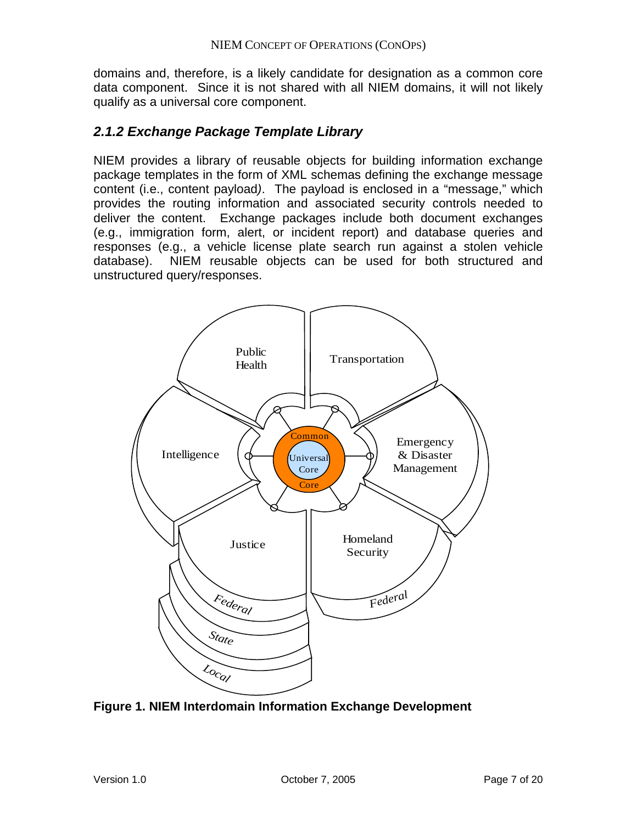domains and, therefore, is a likely candidate for designation as a common core data component. Since it is not shared with all NIEM domains, it will not likely qualify as a universal core component.

## *2.1.2 Exchange Package Template Library*

NIEM provides a library of reusable objects for building information exchange package templates in the form of XML schemas defining the exchange message content (i.e., content payload*)*. The payload is enclosed in a "message," which provides the routing information and associated security controls needed to deliver the content. Exchange packages include both document exchanges (e.g., immigration form, alert, or incident report) and database queries and responses (e.g., a vehicle license plate search run against a stolen vehicle database). NIEM reusable objects can be used for both structured and unstructured query/responses.



**Figure 1. NIEM Interdomain Information Exchange Development**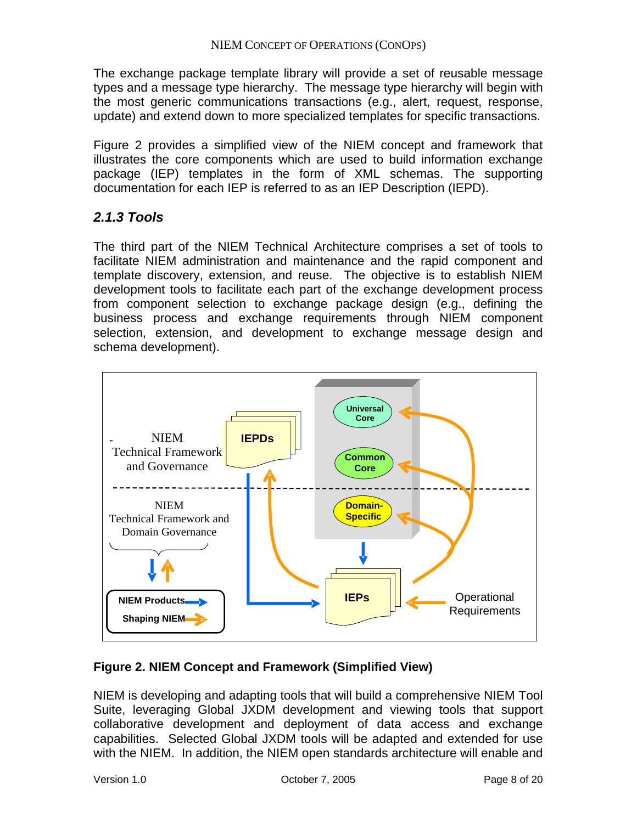The exchange package template library will provide a set of reusable message types and a message type hierarchy. The message type hierarchy will begin with the most generic communications transactions (e.g., alert, request, response, update) and extend down to more specialized templates for specific transactions.

Figure 2 provides a simplified view of the NIEM concept and framework that illustrates the core components which are used to build information exchange package (IEP) templates in the form of XML schemas. The supporting documentation for each IEP is referred to as an IEP Description (IEPD).

## *2.1.3 Tools*

The third part of the NIEM Technical Architecture comprises a set of tools to facilitate NIEM administration and maintenance and the rapid component and template discovery, extension, and reuse. The objective is to establish NIEM development tools to facilitate each part of the exchange development process from component selection to exchange package design (e.g., defining the business process and exchange requirements through NIEM component selection, extension, and development to exchange message design and schema development).



## **Figure 2. NIEM Concept and Framework (Simplified View)**

NIEM is developing and adapting tools that will build a comprehensive NIEM Tool Suite, leveraging Global JXDM development and viewing tools that support collaborative development and deployment of data access and exchange capabilities. Selected Global JXDM tools will be adapted and extended for use with the NIEM. In addition, the NIEM open standards architecture will enable and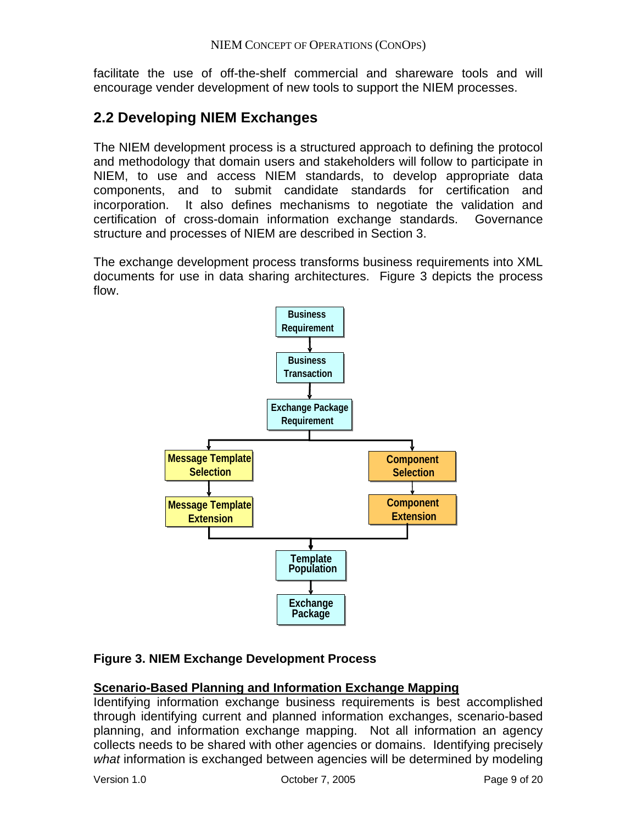facilitate the use of off-the-shelf commercial and shareware tools and will encourage vender development of new tools to support the NIEM processes.

## **2.2 Developing NIEM Exchanges**

The NIEM development process is a structured approach to defining the protocol and methodology that domain users and stakeholders will follow to participate in NIEM, to use and access NIEM standards, to develop appropriate data components, and to submit candidate standards for certification and incorporation. It also defines mechanisms to negotiate the validation and certification of cross-domain information exchange standards. Governance structure and processes of NIEM are described in Section 3.

The exchange development process transforms business requirements into XML documents for use in data sharing architectures. Figure 3 depicts the process flow.



## **Figure 3. NIEM Exchange Development Process**

## **Scenario-Based Planning and Information Exchange Mapping**

Identifying information exchange business requirements is best accomplished through identifying current and planned information exchanges, scenario-based planning, and information exchange mapping. Not all information an agency collects needs to be shared with other agencies or domains. Identifying precisely *what* information is exchanged between agencies will be determined by modeling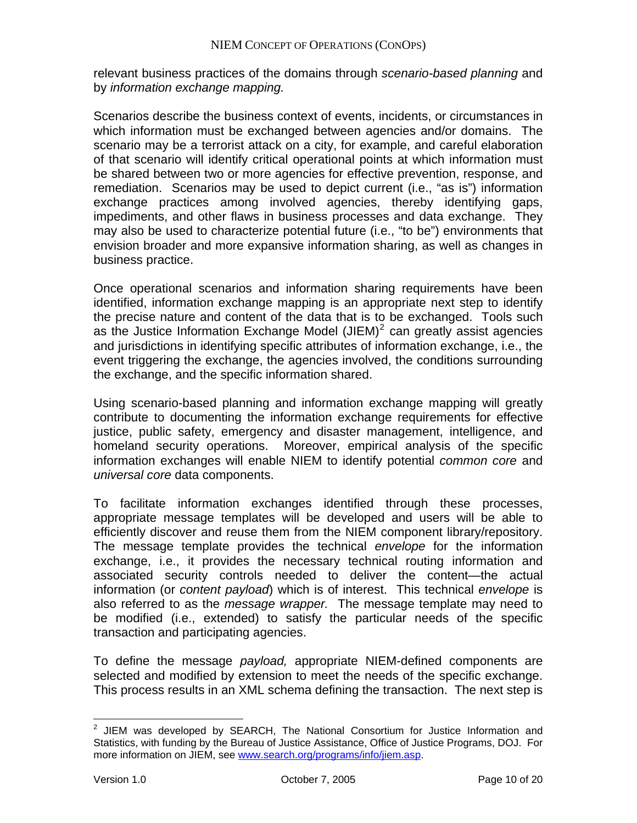relevant business practices of the domains through *scenario-based planning* and by *information exchange mapping.*

Scenarios describe the business context of events, incidents, or circumstances in which information must be exchanged between agencies and/or domains. The scenario may be a terrorist attack on a city, for example, and careful elaboration of that scenario will identify critical operational points at which information must be shared between two or more agencies for effective prevention, response, and remediation. Scenarios may be used to depict current (i.e., "as is") information exchange practices among involved agencies, thereby identifying gaps, impediments, and other flaws in business processes and data exchange. They may also be used to characterize potential future (i.e., "to be") environments that envision broader and more expansive information sharing, as well as changes in business practice.

Once operational scenarios and information sharing requirements have been identified, information exchange mapping is an appropriate next step to identify the precise nature and content of the data that is to be exchanged. Tools such as the Justice Information Exchange Model (JIEM) $^2$  $^2$  can greatly assist agencies and jurisdictions in identifying specific attributes of information exchange, i.e., the event triggering the exchange, the agencies involved, the conditions surrounding the exchange, and the specific information shared.

Using scenario-based planning and information exchange mapping will greatly contribute to documenting the information exchange requirements for effective justice, public safety, emergency and disaster management, intelligence, and homeland security operations. Moreover, empirical analysis of the specific information exchanges will enable NIEM to identify potential *common core* and *universal core* data components.

To facilitate information exchanges identified through these processes, appropriate message templates will be developed and users will be able to efficiently discover and reuse them from the NIEM component library/repository. The message template provides the technical *envelope* for the information exchange, i.e., it provides the necessary technical routing information and associated security controls needed to deliver the content—the actual information (or *content payload*) which is of interest. This technical *envelope* is also referred to as the *message wrapper.* The message template may need to be modified (i.e., extended) to satisfy the particular needs of the specific transaction and participating agencies.

To define the message *payload*, appropriate NIEM-defined components are selected and modified by extension to meet the needs of the specific exchange. This process results in an XML schema defining the transaction. The next step is

1

<span id="page-10-0"></span> $2$  JIEM was developed by SEARCH, The National Consortium for Justice Information and Statistics, with funding by the Bureau of Justice Assistance, Office of Justice Programs, DOJ. For more information on JIEM, see [www.search.org/programs/info/jiem.asp.](http://www.search.org/programs/info/jiem.asp)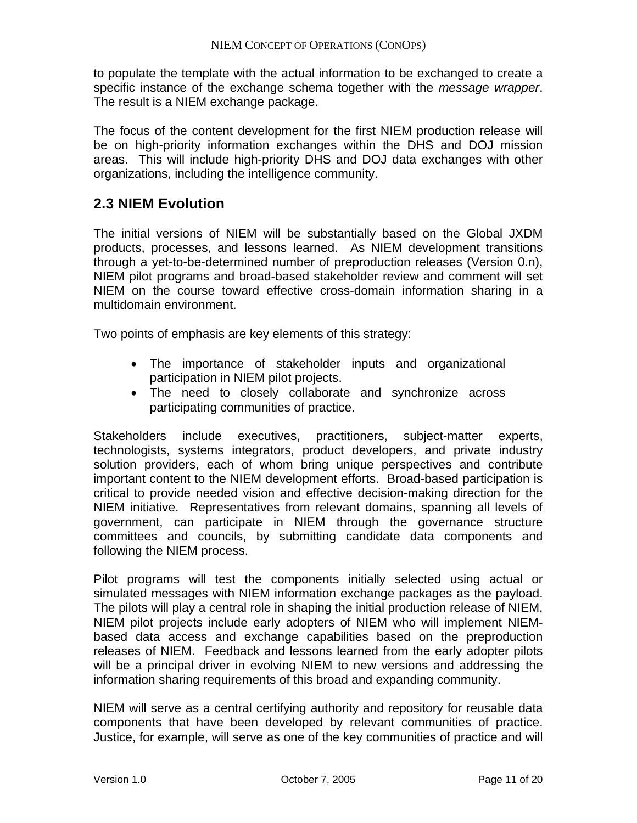to populate the template with the actual information to be exchanged to create a specific instance of the exchange schema together with the *message wrapper*. The result is a NIEM exchange package.

The focus of the content development for the first NIEM production release will be on high-priority information exchanges within the DHS and DOJ mission areas. This will include high-priority DHS and DOJ data exchanges with other organizations, including the intelligence community.

## **.3 NIEM Evolution 2**

he initial versions of NIEM will be substantially based on the Global JXDM T products, processes, and lessons learned. As NIEM development transitions through a yet-to-be-determined number of preproduction releases (Version 0.n), NIEM pilot programs and broad-based stakeholder review and comment will set NIEM on the course toward effective cross-domain information sharing in a multidomain environment.

Two points of emphasis are key elements of this strategy:

- The importance of stakeholder inputs and organizational participation in NIEM pilot projects.
- The need to closely collaborate and synchronize across participating communities of practice.

Stakeholders include executives, practitioners, subject-matter experts, technologists, systems integrators, product developers, and private industry solution providers, each of whom bring unique perspectives and contribute important content to the NIEM development efforts. Broad-based participation is critical to provide needed vision and effective decision-making direction for the NIEM initiative. Representatives from relevant domains, spanning all levels of government, can participate in NIEM through the governance structure committees and councils, by submitting candidate data components and following the NIEM process.

Pilot programs will test the components initially selected using actual or simulated messages with NIEM information exchange packages as the payload. The pilots will play a central role in shaping the initial production release of NIEM. NIEM pilot projects include early adopters of NIEM who will implement NIEMbased data access and exchange capabilities based on the preproduction releases of NIEM. Feedback and lessons learned from the early adopter pilots will be a principal driver in evolving NIEM to new versions and addressing the information sharing requirements of this broad and expanding community.

NIEM will serve as a central certifying authority and repository for reusable data components that have been developed by relevant communities of practice. Justice, for example, will serve as one of the key communities of practice and will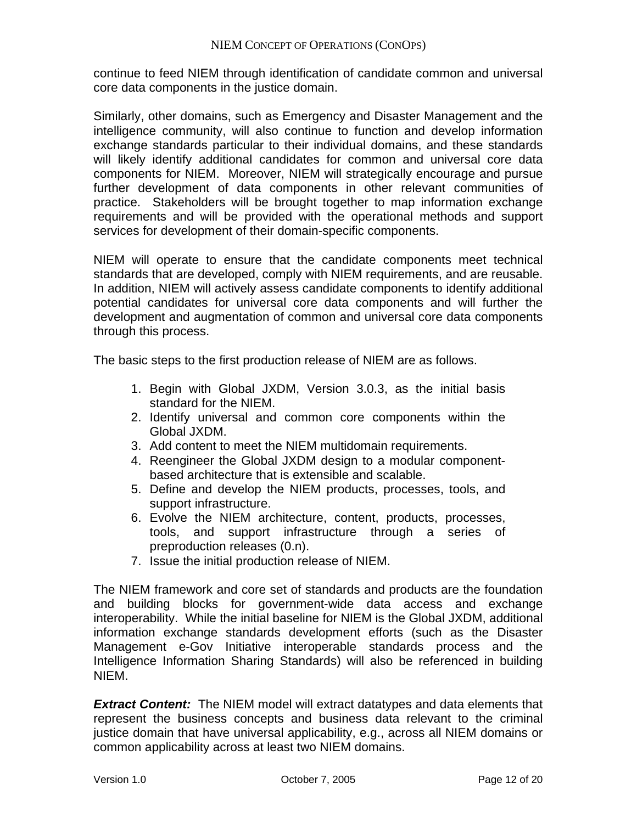continue to feed NIEM through identification of candidate common and universal core data components in the justice domain.

Similarly, other domains, such as Emergency and Disaster Management and the intelligence community, will also continue to function and develop information exchange standards particular to their individual domains, and these standards will likely identify additional candidates for common and universal core data components for NIEM. Moreover, NIEM will strategically encourage and pursue further development of data components in other relevant communities of practice. Stakeholders will be brought together to map information exchange requirements and will be provided with the operational methods and support services for development of their domain-specific components.

NIEM will operate to ensure that the candidate components meet technical standards that are developed, comply with NIEM requirements, and are reusable. In addition, NIEM will actively assess candidate components to identify additional potential candidates for universal core data components and will further the development and augmentation of common and universal core data components through this process.

The basic steps to the first production release of NIEM are as follows.

- 1. Begin with Global JXDM, Version 3.0.3, as the initial basis standard for the NIEM.
- 2. Identify universal and common core components within the Global JXDM.
- 3. Add content to meet the NIEM multidomain requirements.
- 4. Reengineer the Global JXDM design to a modular componentbased architecture that is extensible and scalable.
- 5. Define and develop the NIEM products, processes, tools, and support infrastructure.
- 6. Evolve the NIEM architecture, content, products, processes, tools, and support infrastructure through a series of preproduction releases (0.n).
- 7. Issue the initial production release of NIEM.

The NIEM framework and core set of standards and products are the foundation and building blocks for government-wide data access and exchange interoperability. While the initial baseline for NIEM is the Global JXDM, additional information exchange standards development efforts (such as the Disaster Management e-Gov Initiative interoperable standards process and the Intelligence Information Sharing Standards) will also be referenced in building NIEM.

**Extract Content:** The NIEM model will extract datatypes and data elements that represent the business concepts and business data relevant to the criminal justice domain that have universal applicability, e.g., across all NIEM domains or common applicability across at least two NIEM domains.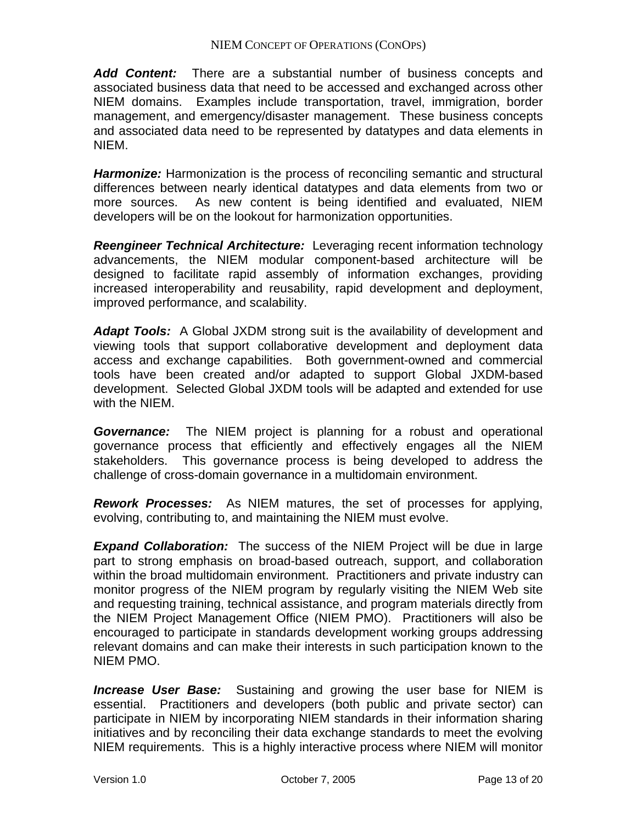*Add Content:* There are a substantial number of business concepts and associated business data that need to be accessed and exchanged across other NIEM domains. Examples include transportation, travel, immigration, border management, and emergency/disaster management. These business concepts and associated data need to be represented by datatypes and data elements in NIEM.

*Harmonize:* Harmonization is the process of reconciling semantic and structural differences between nearly identical datatypes and data elements from two or more sources. As new content is being identified and evaluated, NIEM developers will be on the lookout for harmonization opportunities.

*Reengineer Technical Architecture:* Leveraging recent information technology advancements, the NIEM modular component-based architecture will be designed to facilitate rapid assembly of information exchanges, providing increased interoperability and reusability, rapid development and deployment, improved performance, and scalability.

*Adapt Tools:* A Global JXDM strong suit is the availability of development and viewing tools that support collaborative development and deployment data access and exchange capabilities. Both government-owned and commercial tools have been created and/or adapted to support Global JXDM-based development. Selected Global JXDM tools will be adapted and extended for use with the NIEM.

*Governance:* The NIEM project is planning for a robust and operational governance process that efficiently and effectively engages all the NIEM stakeholders. This governance process is being developed to address the challenge of cross-domain governance in a multidomain environment.

*Rework Processes:* As NIEM matures, the set of processes for applying, evolving, contributing to, and maintaining the NIEM must evolve.

*Expand Collaboration:* The success of the NIEM Project will be due in large part to strong emphasis on broad-based outreach, support, and collaboration within the broad multidomain environment. Practitioners and private industry can monitor progress of the NIEM program by regularly visiting the NIEM Web site and requesting training, technical assistance, and program materials directly from the NIEM Project Management Office (NIEM PMO). Practitioners will also be encouraged to participate in standards development working groups addressing relevant domains and can make their interests in such participation known to the NIEM PMO.

*Increase User Base:* Sustaining and growing the user base for NIEM is essential. Practitioners and developers (both public and private sector) can participate in NIEM by incorporating NIEM standards in their information sharing initiatives and by reconciling their data exchange standards to meet the evolving NIEM requirements. This is a highly interactive process where NIEM will monitor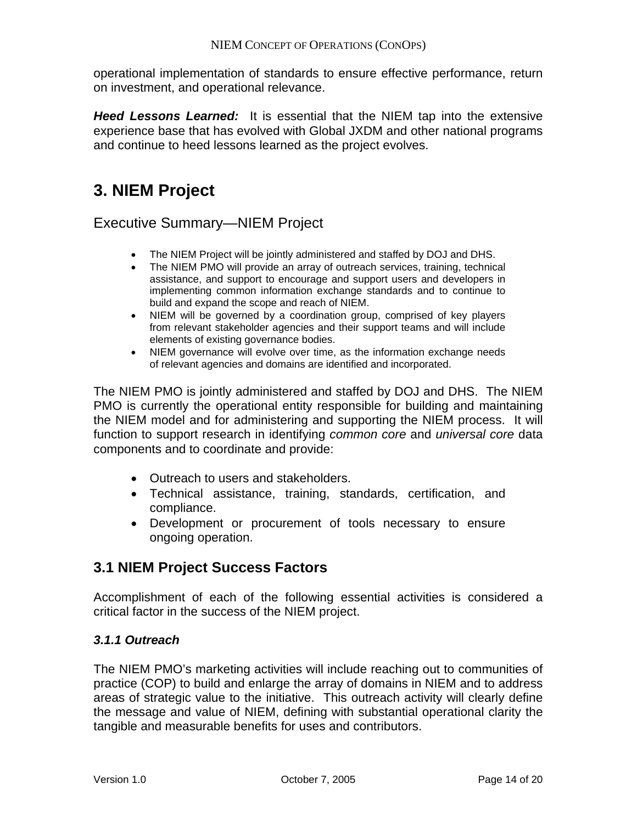operational implementation of standards to ensure effective performance, return on investment, and operational relevance.

*Heed Lessons Learned:* It is essential that the NIEM tap into the extensive experience base that has evolved with Global JXDM and other national programs and continue to heed lessons learned as the project evolves.

## **3. NIEM Project**

## Executive Summary—NIEM Project

- The NIEM Project will be jointly administered and staffed by DOJ and DHS.
- The NIEM PMO will provide an array of outreach services, training, technical assistance, and support to encourage and support users and developers in implementing common information exchange standards and to continue to build and expand the scope and reach of NIEM.
- NIEM will be governed by a coordination group, comprised of key players from relevant stakeholder agencies and their support teams and will include elements of existing governance bodies.
- NIEM governance will evolve over time, as the information exchange needs of relevant agencies and domains are identified and incorporated.

The NIEM PMO is jointly administered and staffed by DOJ and DHS. The NIEM PMO is currently the operational entity responsible for building and maintaining the NIEM model and for administering and supporting the NIEM process. It will function to support research in identifying *common core* and *universal core* data components and to coordinate and provide:

- Outreach to users and stakeholders.
- Technical assistance, training, standards, certification, and compliance.
- Development or procurement of tools necessary to ensure ongoing operation.

## **3.1 NIEM Project Success Factors**

Accomplishment of each of the following essential activities is considered a critical factor in the success of the NIEM project.

## *3.1.1 Outreach*

The NIEM PMO's marketing activities will include reaching out to communities of practice (COP) to build and enlarge the array of domains in NIEM and to address areas of strategic value to the initiative. This outreach activity will clearly define the message and value of NIEM, defining with substantial operational clarity the tangible and measurable benefits for uses and contributors.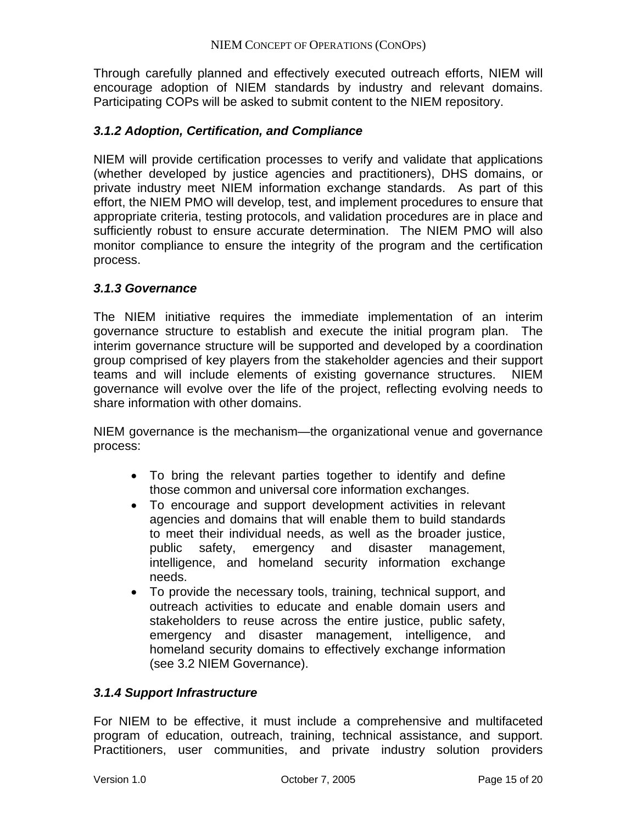Through carefully planned and effectively executed outreach efforts, NIEM will encourage adoption of NIEM standards by industry and relevant domains. Participating COPs will be asked to submit content to the NIEM repository.

#### *3.1.2 Adoption, Certification, and Compliance*

NIEM will provide certification processes to verify and validate that applications (whether developed by justice agencies and practitioners), DHS domains, or private industry meet NIEM information exchange standards. As part of this effort, the NIEM PMO will develop, test, and implement procedures to ensure that appropriate criteria, testing protocols, and validation procedures are in place and sufficiently robust to ensure accurate determination. The NIEM PMO will also monitor compliance to ensure the integrity of the program and the certification process.

#### *3.1.3 Governance*

The NIEM initiative requires the immediate implementation of an interim governance structure to establish and execute the initial program plan. The interim governance structure will be supported and developed by a coordination group comprised of key players from the stakeholder agencies and their support teams and will include elements of existing governance structures. NIEM governance will evolve over the life of the project, reflecting evolving needs to share information with other domains.

NIEM governance is the mechanism—the organizational venue and governance process:

- To bring the relevant parties together to identify and define those common and universal core information exchanges.
- To encourage and support development activities in relevant agencies and domains that will enable them to build standards to meet their individual needs, as well as the broader justice, public safety, emergency and disaster management, intelligence, and homeland security information exchange needs.
- To provide the necessary tools, training, technical support, and outreach activities to educate and enable domain users and stakeholders to reuse across the entire justice, public safety, emergency and disaster management, intelligence, and homeland security domains to effectively exchange information (see 3.2 NIEM Governance).

#### *3.1.4 Support Infrastructure*

For NIEM to be effective, it must include a comprehensive and multifaceted program of education, outreach, training, technical assistance, and support. Practitioners, user communities, and private industry solution providers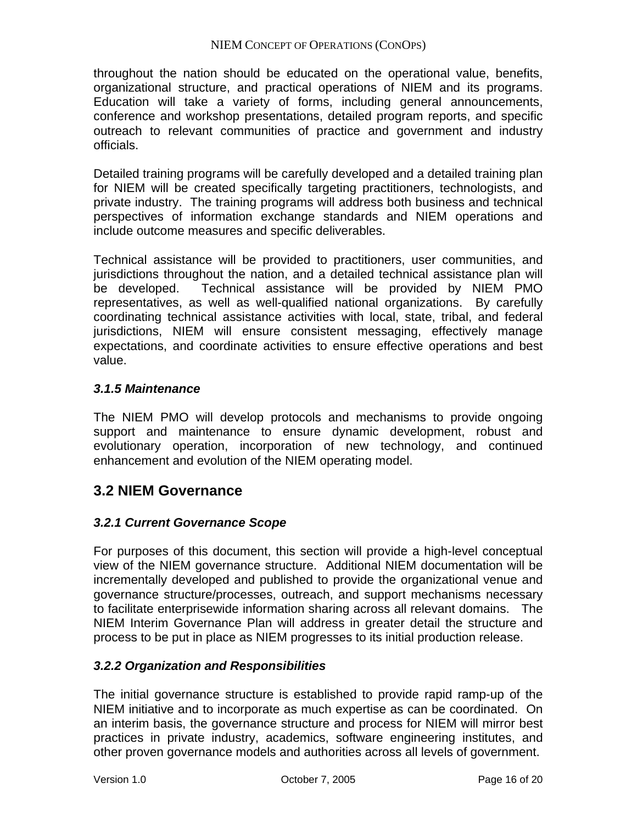#### NIEM CONCEPT OF OPERATIONS (CONOPS)

throughout the nation should be educated on the operational value, benefits, organizational structure, and practical operations of NIEM and its programs. Education will take a variety of forms, including general announcements, conference and workshop presentations, detailed program reports, and specific outreach to relevant communities of practice and government and industry officials.

Detailed training programs will be carefully developed and a detailed training plan for NIEM will be created specifically targeting practitioners, technologists, and private industry. The training programs will address both business and technical perspectives of information exchange standards and NIEM operations and include outcome measures and specific deliverables.

Technical assistance will be provided to practitioners, user communities, and jurisdictions throughout the nation, and a detailed technical assistance plan will be developed. Technical assistance will be provided by NIEM PMO representatives, as well as well-qualified national organizations. By carefully coordinating technical assistance activities with local, state, tribal, and federal jurisdictions, NIEM will ensure consistent messaging, effectively manage expectations, and coordinate activities to ensure effective operations and best value.

#### *3.1.5 Maintenance*

The NIEM PMO will develop protocols and mechanisms to provide ongoing support and maintenance to ensure dynamic development, robust and evolutionary operation, incorporation of new technology, and continued enhancement and evolution of the NIEM operating model.

## **3.2 NIEM Governance**

## *3.2.1 Current Governance Scope*

For purposes of this document, this section will provide a high-level conceptual view of the NIEM governance structure. Additional NIEM documentation will be incrementally developed and published to provide the organizational venue and governance structure/processes, outreach, and support mechanisms necessary to facilitate enterprisewide information sharing across all relevant domains. The NIEM Interim Governance Plan will address in greater detail the structure and process to be put in place as NIEM progresses to its initial production release.

## *3.2.2 Organization and Responsibilities*

The initial governance structure is established to provide rapid ramp-up of the NIEM initiative and to incorporate as much expertise as can be coordinated. On an interim basis, the governance structure and process for NIEM will mirror best practices in private industry, academics, software engineering institutes, and other proven governance models and authorities across all levels of government.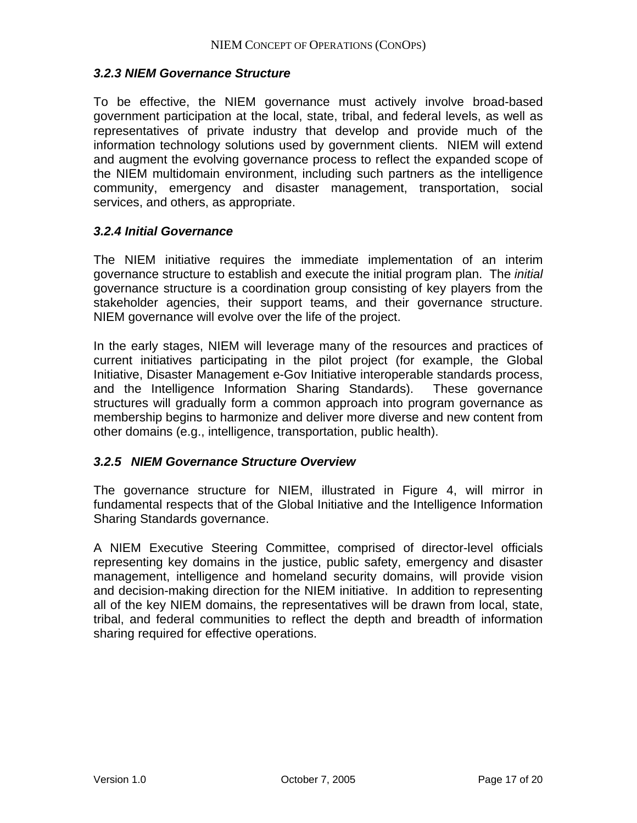#### *3.2.3 NIEM Governance Structure*

To be effective, the NIEM governance must actively involve broad-based government participation at the local, state, tribal, and federal levels, as well as representatives of private industry that develop and provide much of the information technology solutions used by government clients. NIEM will extend and augment the evolving governance process to reflect the expanded scope of the NIEM multidomain environment, including such partners as the intelligence community, emergency and disaster management, transportation, social services, and others, as appropriate.

#### *3.2.4 Initial Governance*

The NIEM initiative requires the immediate implementation of an interim governance structure to establish and execute the initial program plan. The *initial* governance structure is a coordination group consisting of key players from the stakeholder agencies, their support teams, and their governance structure. NIEM governance will evolve over the life of the project.

In the early stages, NIEM will leverage many of the resources and practices of current initiatives participating in the pilot project (for example, the Global Initiative, Disaster Management e-Gov Initiative interoperable standards process, and the Intelligence Information Sharing Standards). These governance structures will gradually form a common approach into program governance as membership begins to harmonize and deliver more diverse and new content from other domains (e.g., intelligence, transportation, public health).

## *3.2.5 NIEM Governance Structure Overview*

The governance structure for NIEM, illustrated in Figure 4, will mirror in fundamental respects that of the Global Initiative and the Intelligence Information Sharing Standards governance.

A NIEM Executive Steering Committee, comprised of director-level officials representing key domains in the justice, public safety, emergency and disaster management, intelligence and homeland security domains, will provide vision and decision-making direction for the NIEM initiative. In addition to representing all of the key NIEM domains, the representatives will be drawn from local, state, tribal, and federal communities to reflect the depth and breadth of information sharing required for effective operations.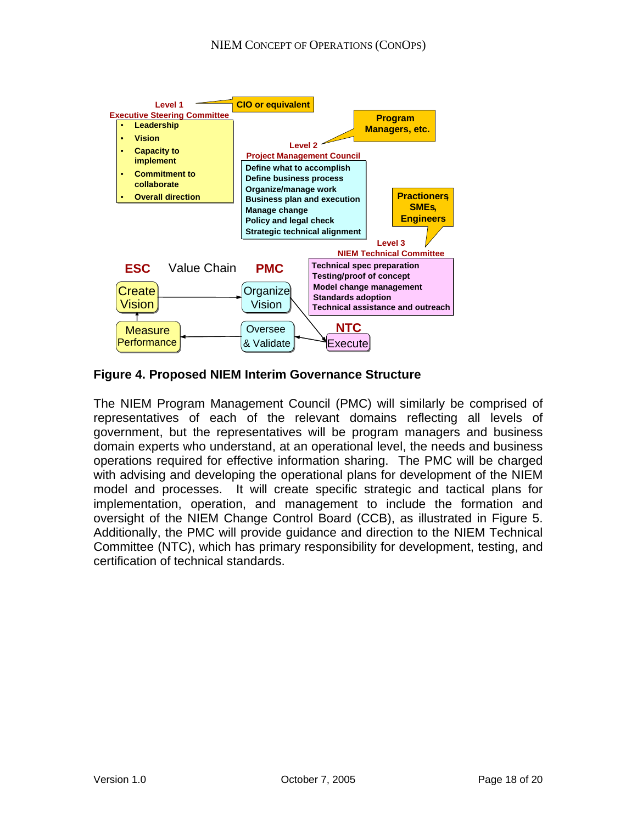

**Figure 4. Proposed NIEM Interim Governance Structure** 

The NIEM Program Management Council (PMC) will similarly be comprised of representatives of each of the relevant domains reflecting all levels of government, but the representatives will be program managers and business domain experts who understand, at an operational level, the needs and business operations required for effective information sharing. The PMC will be charged with advising and developing the operational plans for development of the NIEM model and processes. It will create specific strategic and tactical plans for implementation, operation, and management to include the formation and oversight of the NIEM Change Control Board (CCB), as illustrated in Figure 5. Additionally, the PMC will provide guidance and direction to the NIEM Technical Committee (NTC), which has primary responsibility for development, testing, and certification of technical standards.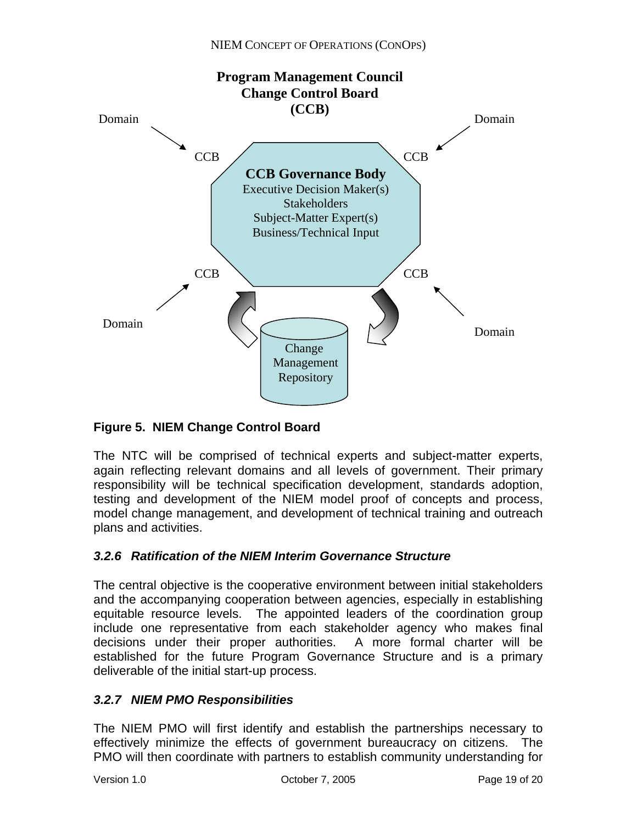

## **Figure 5. NIEM Change Control Board**

The NTC will be comprised of technical experts and subject-matter experts, again reflecting relevant domains and all levels of government. Their primary responsibility will be technical specification development, standards adoption, testing and development of the NIEM model proof of concepts and process, model change management, and development of technical training and outreach plans and activities.

## *3.2.6 Ratification of the NIEM Interim Governance Structure*

The central objective is the cooperative environment between initial stakeholders and the accompanying cooperation between agencies, especially in establishing equitable resource levels. The appointed leaders of the coordination group include one representative from each stakeholder agency who makes final decisions under their proper authorities. A more formal charter will be established for the future Program Governance Structure and is a primary deliverable of the initial start-up process.

## *3.2.7 NIEM PMO Responsibilities*

The NIEM PMO will first identify and establish the partnerships necessary to effectively minimize the effects of government bureaucracy on citizens. The PMO will then coordinate with partners to establish community understanding for